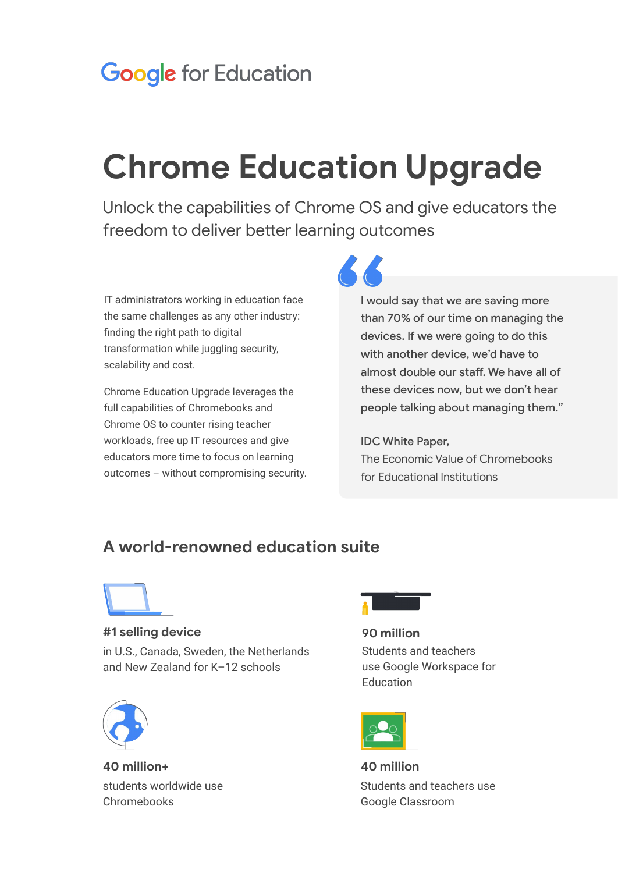## **Google for Education**

# **Chrome Education Upgrade**

Unlock the capabilities of Chrome OS and give educators the freedom to deliver better learning outcomes

IT administrators working in education face the same challenges as any other industry: finding the right path to digital transformation while juggling security, scalability and cost.

Chrome Education Upgrade leverages the full capabilities of Chromebooks and Chrome OS to counter rising teacher workloads, free up IT resources and give educators more time to focus on learning outcomes – without compromising security. I would say that we are saving more than 70% of our time on managing the devices. If we were going to do this with another device, we'd have to almost double our staff. We have all of these devices now, but we don't hear people talking about managing them."

### IDC White Paper,

The Economic Value of Chromebooks for Educational Institutions

### **A world-renowned education suite**

**#1 selling device**

in U.S., Canada, Sweden, the Netherlands and New Zealand for K–12 schools



**40 million+** students worldwide use Chromebooks



**90 million** Students and teachers use Google Workspace for **Education** 



**40 million** Students and teachers use Google Classroom